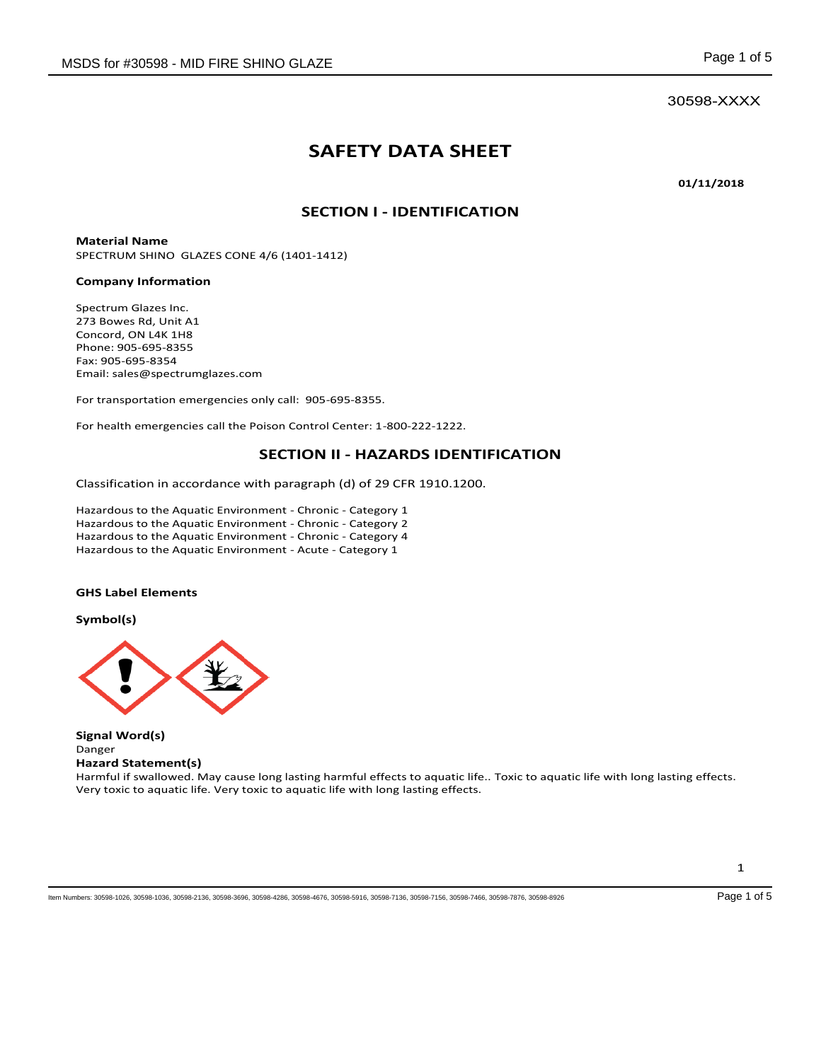30598-XXXX

# **SAFETY DATA SHEET**

**01/11/2018** 

# **SECTION I - IDENTIFICATION**

**Material Name**  SPECTRUM SHINO GLAZES CONE 4/6 (1401-1412)

#### **Company Information**

Spectrum Glazes Inc. 273 Bowes Rd, Unit A1 Concord, ON L4K 1H8 Phone: 905-695-8355 Fax: 905-695-8354 Email: sales@spectrumglazes.com

For transportation emergencies only call: 905-695-8355.

For health emergencies call the Poison Control Center: 1-800-222-1222.

### **SECTION II - HAZARDS IDENTIFICATION**

Classification in accordance with paragraph (d) of 29 CFR 1910.1200.

Hazardous to the Aquatic Environment - Chronic - Category 1 Hazardous to the Aquatic Environment - Chronic - Category 2 Hazardous to the Aquatic Environment - Chronic - Category 4 Hazardous to the Aquatic Environment - Acute - Category 1

#### **GHS Label Elements**

**Symbol(s)** 



**Signal Word(s)**  Danger **Hazard Statement(s)** 

Harmful if swallowed. May cause long lasting harmful effects to aquatic life.. Toxic to aquatic life with long lasting effects. Very toxic to aquatic life. Very toxic to aquatic life with long lasting effects.

Item Numbers: 30598-1026, 30598-1036, 30598-2136, 30598-3696, 30598-4286, 30598-4676, 30598-5916, 30598-7136, 30598-7156, 30598-7466, 30598-7876, 30598-8926 Page 1 of 5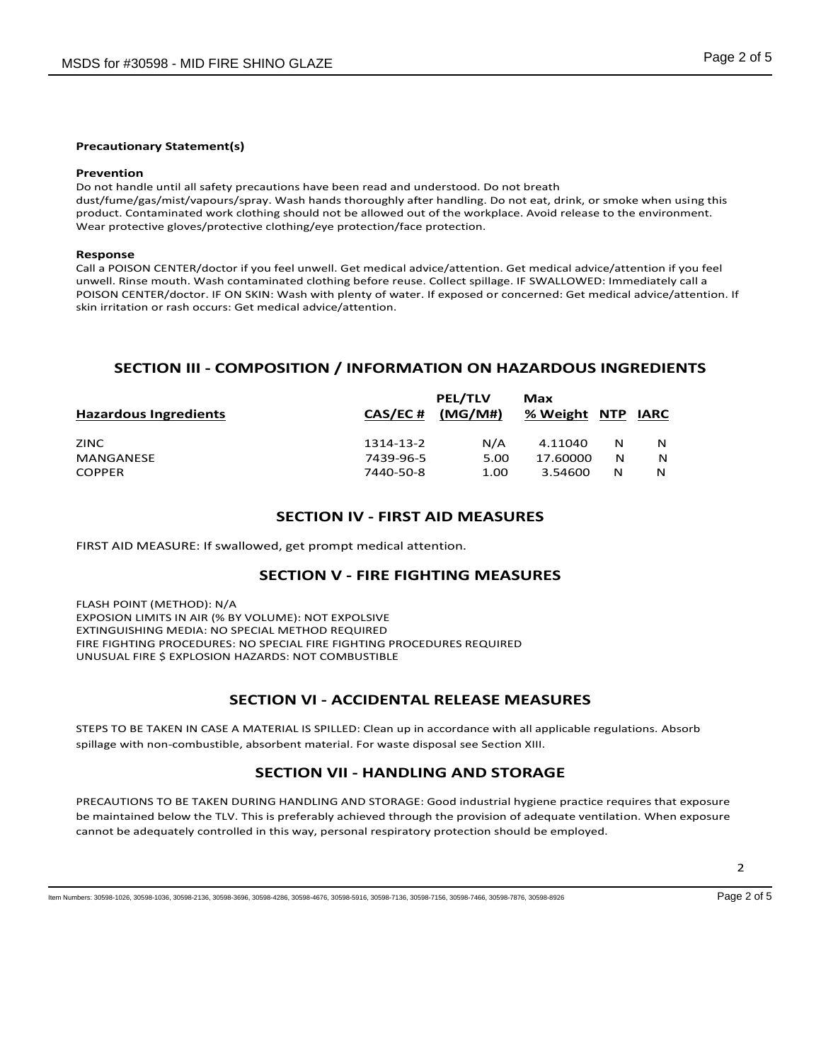#### **Precautionary Statement(s)**

#### **Prevention**

Do not handle until all safety precautions have been read and understood. Do not breath dust/fume/gas/mist/vapours/spray. Wash hands thoroughly after handling. Do not eat, drink, or smoke when using this product. Contaminated work clothing should not be allowed out of the workplace. Avoid release to the environment. Wear protective gloves/protective clothing/eye protection/face protection.

#### **Response**

Call a POISON CENTER/doctor if you feel unwell. Get medical advice/attention. Get medical advice/attention if you feel unwell. Rinse mouth. Wash contaminated clothing before reuse. Collect spillage. IF SWALLOWED: Immediately call a POISON CENTER/doctor. IF ON SKIN: Wash with plenty of water. If exposed or concerned: Get medical advice/attention. If skin irritation or rash occurs: Get medical advice/attention.

# **SECTION III - COMPOSITION / INFORMATION ON HAZARDOUS INGREDIENTS**

|           | <b>PEL/TLV</b> | Max      |   | <b>IARC</b>  |
|-----------|----------------|----------|---|--------------|
|           |                |          |   |              |
| 1314-13-2 | N/A            | 4.11040  | N | N            |
| 7439-96-5 | 5.00           | 17.60000 | N | N            |
| 7440-50-8 | 1.00           | 3.54600  | N | N            |
|           | <b>CAS/EC#</b> | (MG/M#)  |   | % Weight NTP |

### **SECTION IV - FIRST AID MEASURES**

FIRST AID MEASURE: If swallowed, get prompt medical attention.

#### **SECTION V - FIRE FIGHTING MEASURES**

FLASH POINT (METHOD): N/A EXPOSION LIMITS IN AIR (% BY VOLUME): NOT EXPOLSIVE EXTINGUISHING MEDIA: NO SPECIAL METHOD REQUIRED FIRE FIGHTING PROCEDURES: NO SPECIAL FIRE FIGHTING PROCEDURES REQUIRED UNUSUAL FIRE \$ EXPLOSION HAZARDS: NOT COMBUSTIBLE

### **SECTION VI - ACCIDENTAL RELEASE MEASURES**

STEPS TO BE TAKEN IN CASE A MATERIAL IS SPILLED: Clean up in accordance with all applicable regulations. Absorb spillage with non-combustible, absorbent material. For waste disposal see Section XIII.

# **SECTION VII - HANDLING AND STORAGE**

PRECAUTIONS TO BE TAKEN DURING HANDLING AND STORAGE: Good industrial hygiene practice requires that exposure be maintained below the TLV. This is preferably achieved through the provision of adequate ventilation. When exposure cannot be adequately controlled in this way, personal respiratory protection should be employed.

Item Numbers: 30598-1026, 30598-1036, 30598-2136, 30598-3696, 30598-4286, 30598-4676, 30598-5916, 30598-7136, 30598-7156, 30598-7466, 30598-7876, 30598-8926 Page 2 of 5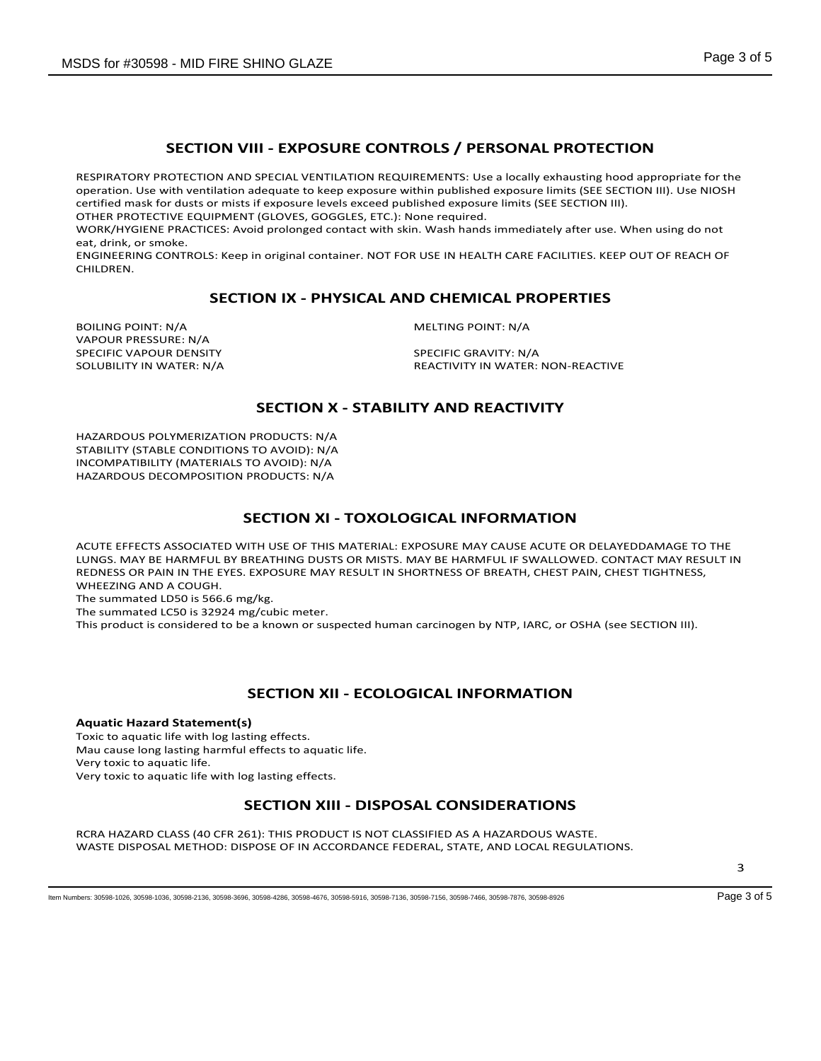# **SECTION VIII - EXPOSURE CONTROLS / PERSONAL PROTECTION**

RESPIRATORY PROTECTION AND SPECIAL VENTILATION REQUIREMENTS: Use a locally exhausting hood appropriate for the operation. Use with ventilation adequate to keep exposure within published exposure limits (SEE SECTION III). Use NIOSH certified mask for dusts or mists if exposure levels exceed published exposure limits (SEE SECTION III).

OTHER PROTECTIVE EQUIPMENT (GLOVES, GOGGLES, ETC.): None required.

WORK/HYGIENE PRACTICES: Avoid prolonged contact with skin. Wash hands immediately after use. When using do not eat, drink, or smoke.

ENGINEERING CONTROLS: Keep in original container. NOT FOR USE IN HEALTH CARE FACILITIES. KEEP OUT OF REACH OF CHILDREN.

### **SECTION IX - PHYSICAL AND CHEMICAL PROPERTIES**

BOILING POINT: N/A MELTING POINT: N/A VAPOUR PRESSURE: N/A SPECIFIC VAPOUR DENSITY<br>SOLUBILITY IN WATER: N/A SOLUBILITY IN WATER:

REACTIVITY IN WATER: NON-REACTIVE

# **SECTION X - STABILITY AND REACTIVITY**

HAZARDOUS POLYMERIZATION PRODUCTS: N/A STABILITY (STABLE CONDITIONS TO AVOID): N/A INCOMPATIBILITY (MATERIALS TO AVOID): N/A HAZARDOUS DECOMPOSITION PRODUCTS: N/A

### **SECTION XI - TOXOLOGICAL INFORMATION**

ACUTE EFFECTS ASSOCIATED WITH USE OF THIS MATERIAL: EXPOSURE MAY CAUSE ACUTE OR DELAYEDDAMAGE TO THE LUNGS. MAY BE HARMFUL BY BREATHING DUSTS OR MISTS. MAY BE HARMFUL IF SWALLOWED. CONTACT MAY RESULT IN REDNESS OR PAIN IN THE EYES. EXPOSURE MAY RESULT IN SHORTNESS OF BREATH, CHEST PAIN, CHEST TIGHTNESS, WHEEZING AND A COUGH.

The summated LD50 is 566.6 mg/kg.

The summated LC50 is 32924 mg/cubic meter.

This product is considered to be a known or suspected human carcinogen by NTP, IARC, or OSHA (see SECTION III).

# **SECTION XII - ECOLOGICAL INFORMATION**

# **Aquatic Hazard Statement(s)**

Toxic to aquatic life with log lasting effects. Mau cause long lasting harmful effects to aquatic life. Very toxic to aquatic life. Very toxic to aquatic life with log lasting effects.

# **SECTION XIII - DISPOSAL CONSIDERATIONS**

RCRA HAZARD CLASS (40 CFR 261): THIS PRODUCT IS NOT CLASSIFIED AS A HAZARDOUS WASTE. WASTE DISPOSAL METHOD: DISPOSE OF IN ACCORDANCE FEDERAL, STATE, AND LOCAL REGULATIONS.

3

Item Numbers: 30598-1026, 30598-1036, 30598-2136, 30598-3696, 30598-4286, 30598-4676, 30598-5916, 30598-7136, 30598-7156, 30598-7466, 30598-7876, 30598-8926 Page 3 of 5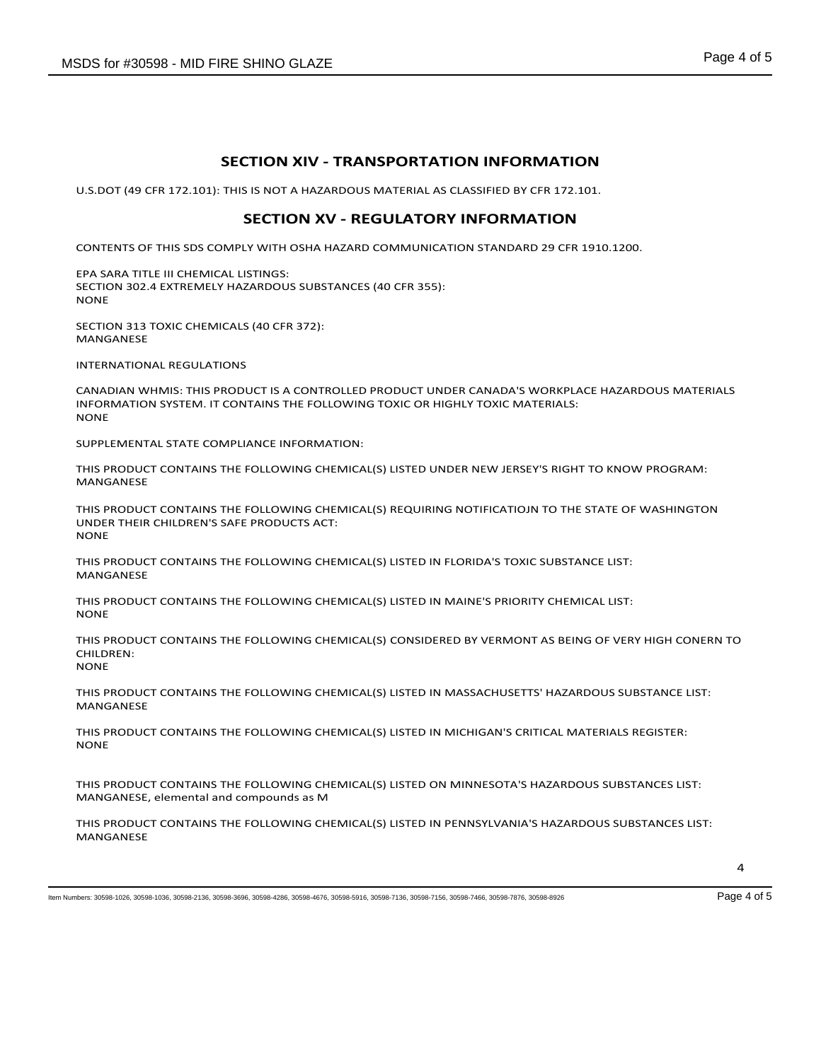# **SECTION XIV - TRANSPORTATION INFORMATION**

U.S.DOT (49 CFR 172.101): THIS IS NOT A HAZARDOUS MATERIAL AS CLASSIFIED BY CFR 172.101.

#### **SECTION XV - REGULATORY INFORMATION**

CONTENTS OF THIS SDS COMPLY WITH OSHA HAZARD COMMUNICATION STANDARD 29 CFR 1910.1200.

EPA SARA TITLE III CHEMICAL LISTINGS: SECTION 302.4 EXTREMELY HAZARDOUS SUBSTANCES (40 CFR 355): NONE

SECTION 313 TOXIC CHEMICALS (40 CFR 372): MANGANESE

INTERNATIONAL REGULATIONS

CANADIAN WHMIS: THIS PRODUCT IS A CONTROLLED PRODUCT UNDER CANADA'S WORKPLACE HAZARDOUS MATERIALS INFORMATION SYSTEM. IT CONTAINS THE FOLLOWING TOXIC OR HIGHLY TOXIC MATERIALS: **NONE** 

SUPPLEMENTAL STATE COMPLIANCE INFORMATION:

THIS PRODUCT CONTAINS THE FOLLOWING CHEMICAL(S) LISTED UNDER NEW JERSEY'S RIGHT TO KNOW PROGRAM: MANGANESE

THIS PRODUCT CONTAINS THE FOLLOWING CHEMICAL(S) REQUIRING NOTIFICATIOJN TO THE STATE OF WASHINGTON UNDER THEIR CHILDREN'S SAFE PRODUCTS ACT: **NONE** 

THIS PRODUCT CONTAINS THE FOLLOWING CHEMICAL(S) LISTED IN FLORIDA'S TOXIC SUBSTANCE LIST: MANGANESE

THIS PRODUCT CONTAINS THE FOLLOWING CHEMICAL(S) LISTED IN MAINE'S PRIORITY CHEMICAL LIST: NONE

THIS PRODUCT CONTAINS THE FOLLOWING CHEMICAL(S) CONSIDERED BY VERMONT AS BEING OF VERY HIGH CONERN TO CHILDREN: **NONE** 

THIS PRODUCT CONTAINS THE FOLLOWING CHEMICAL(S) LISTED IN MASSACHUSETTS' HAZARDOUS SUBSTANCE LIST: MANGANESE

THIS PRODUCT CONTAINS THE FOLLOWING CHEMICAL(S) LISTED IN MICHIGAN'S CRITICAL MATERIALS REGISTER: NONE

THIS PRODUCT CONTAINS THE FOLLOWING CHEMICAL(S) LISTED ON MINNESOTA'S HAZARDOUS SUBSTANCES LIST: MANGANESE, elemental and compounds as M

THIS PRODUCT CONTAINS THE FOLLOWING CHEMICAL(S) LISTED IN PENNSYLVANIA'S HAZARDOUS SUBSTANCES LIST: MANGANESE

Item Numbers: 30598-1026, 30598-1036, 30598-2136, 30598-3696, 30598-4286, 30598-4676, 30598-5916, 30598-7136, 30598-7156, 30598-7466, 30598-7876, 30598-8926 Page 4 of 5